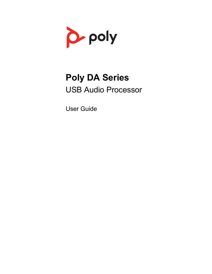

# **Poly DA Series** USB Audio Processor

User Guide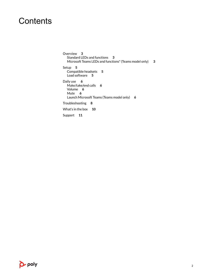### **Contents**

[Overview](#page-2-0) **3** [Standard LEDs and functions](#page-2-0) **3** [Microsoft Teams LEDs and functions\\* \(Teams model only\)](#page-2-0) **3** [Setup](#page-4-0) **5** [Compatible headsets](#page-4-0) **5** [Load software](#page-4-0) **5** [Daily use](#page-5-0) **6** [Make/take/end calls](#page-5-0) **6** [Volume](#page-5-0) **6** [Mute](#page-5-0) **6** [Launch Microsoft Teams \(Teams model only\)](#page-5-0) **6** [Troubleshooting](#page-7-0) **8** [What's in the box](#page-9-0) **10** [Support](#page-10-0) **11**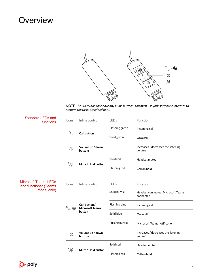### <span id="page-2-0"></span>**Overview**



**NOTE** *The DA75 does not have any inline buttons. You must use your softphone interface to perform the tasks described here.*

| <b>Standard LEDs and</b><br>functions                               | Icons                     | Inline control                                    | LEDs           | Function                                        |
|---------------------------------------------------------------------|---------------------------|---------------------------------------------------|----------------|-------------------------------------------------|
| <b>Microsoft Teams LEDs</b><br>and functions* (Teams<br>model only) | $\mathscr{C}$             | <b>Call button</b>                                | Flashing green | Incoming call                                   |
|                                                                     |                           |                                                   | Solid green    | On a call                                       |
|                                                                     | $\triangleleft$           | Volume up / down<br>buttons                       |                | Increases / decreases the listening<br>volume   |
|                                                                     | "W                        | Mute / Hold button                                | Solid red      | Headset muted                                   |
|                                                                     |                           |                                                   | Flashing red   | Call on hold                                    |
|                                                                     | Icons                     | Inline control                                    | LEDs           | Function                                        |
|                                                                     | $\mathbb{Q}/\mathbb{G}$ i | Call button /<br><b>Microsoft Teams</b><br>button | Solid purple   | Headset connected; Microsoft Teams<br>connected |
|                                                                     |                           |                                                   | Flashing blue  | Incoming call                                   |
|                                                                     |                           |                                                   | Solid blue     | On a call                                       |
|                                                                     |                           |                                                   | Pulsing purple | Microsoft Teams notification                    |
|                                                                     | $\triangleleft$           | Volume up / down<br>buttons                       |                | Increases / decreases the listening<br>volume   |
|                                                                     | "V)                       | Mute / Hold button                                | Solid red      | Headset muted                                   |
|                                                                     |                           |                                                   | Flashing red   | Call on hold                                    |

poly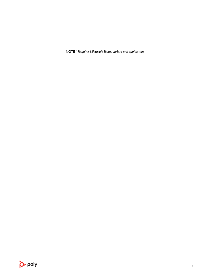**NOTE** *\* Requires Microsoft Teams variant and application*

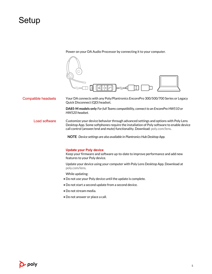### <span id="page-4-0"></span>Setup

Power on your DA Audio Processor by connecting it to your computer.



Your DA connects with any Poly/Plantronics EncorePro 300/500/700 Series or Legacy Quick Disconnect (QD) headset. Compatible headsets

> **DA85-M models only** *For full Teams compatibility, connect to an EncorePro HW510 or HW520 headset.*

Customize your device behavior through advanced settings and options with Poly Lens Desktop App. Some softphones require the installation of Poly software to enable device call control (answer/end and mute) functionality. Download: [poly.com/lens.](http://www.poly.com/lens) Load software

**NOTE** *Device settings are also available in Plantronics Hub Desktop App.*

#### **Update your Poly device**

Keep your firmware and software up-to-date to improve performance and add new features to your Poly device.

Update your device using your computer with Poly Lens Desktop App. Download at [poly.com/lens](http://www.poly.com/lens).

While updating:

- Do not use your Poly device until the update is complete.
- Do not start a second update from a second device.
- Do not stream media.
- Do not answer or place a call.

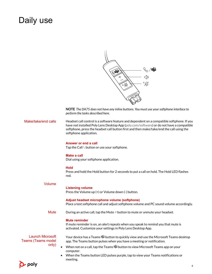### <span id="page-5-0"></span>Daily use

|  | {}, ∕0;;<br>< }}<br>"\% |
|--|-------------------------|
|  |                         |
|  |                         |

**NOTE** *The DA75 does not have any inline buttons. You must use your softphone interface to perform the tasks described here.*

| Make/take/end calls | Headset call control is a software feature and dependent on a compatible softphone. If you |
|---------------------|--------------------------------------------------------------------------------------------|
|                     | have not installed Poly Lens Desktop App (poly.com/software) or do not have a compatible   |
|                     | softphone, press the headset call button first and then make/take/end the call using the   |
|                     | softphone application.                                                                     |
|                     |                                                                                            |

#### **Answer or end a call**

Tap the Call \ button or use your softphone.

#### **Make a call**

Dial using your softphone application.

#### **Hold**

Press and hold the Hold button for 2 seconds to put a call on hold. The Hold LED flashes red.

| Volume                                               | <b>Listening volume</b><br>Press the Volume up (+) or Volume down (-) button.                                                                                              |
|------------------------------------------------------|----------------------------------------------------------------------------------------------------------------------------------------------------------------------------|
|                                                      | Adjust headset microphone volume (softphone)<br>Place a test softphone call and adjust softphone volume and PC sound volume accordingly.                                   |
| Mute                                                 | During an active call, tap the Mute $\&$ button to mute or unmute your headset.                                                                                            |
|                                                      | <b>Mute reminder</b><br>If mute reminder is on, an alert repeats when you speak to remind you that mute is<br>activated. Customize your settings in Poly Lens Desktop App. |
| <b>Launch Microsoft</b><br><b>Teams (Teams model</b> | Your device has a Teams $\vec{u}$ button to quickly view and use the Microsoft Teams desktop<br>app. The Teams button pulses when you have a meeting or notification.      |
| only)                                                | When not on a call, tap the Teams $\vec{u}$ button to view Microsoft Teams app on your<br>computer.                                                                        |
|                                                      | When the Teams button LED pulses purple, tap to view your Teams notifications or<br>meeting.                                                                               |

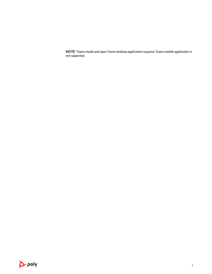**NOTE** *Teams model and open Teams desktop application required. Teams mobile application is not supported.*

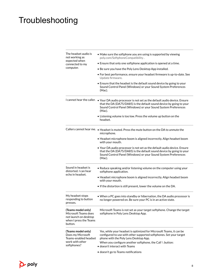## <span id="page-7-0"></span>Troubleshooting

| The headset audio is<br>not working as<br>expected when<br>connected to my<br>computer.                  | • Make sure the softphone you are using is supported by viewing<br>poly.com/SoftphoneCompatibility.                                                                                                                                            |                                                                                                                                                                                                                                                        |  |  |  |
|----------------------------------------------------------------------------------------------------------|------------------------------------------------------------------------------------------------------------------------------------------------------------------------------------------------------------------------------------------------|--------------------------------------------------------------------------------------------------------------------------------------------------------------------------------------------------------------------------------------------------------|--|--|--|
|                                                                                                          | • Ensure that only one softphone application is opened at a time.                                                                                                                                                                              |                                                                                                                                                                                                                                                        |  |  |  |
|                                                                                                          | • Be sure you have the Poly Lens Desktop App installed.<br>• For best performance, ensure your headset firmware is up-to-date. See<br>Update firmware.                                                                                         |                                                                                                                                                                                                                                                        |  |  |  |
|                                                                                                          |                                                                                                                                                                                                                                                |                                                                                                                                                                                                                                                        |  |  |  |
|                                                                                                          |                                                                                                                                                                                                                                                | I cannot hear the caller. • Your DA audio processor is not set as the default audio device. Ensure<br>that the DA (DA75/DA85) is the default sound device by going to your<br>Sound Control Panel (Windows) or your Sound System Preferences<br>(Mac). |  |  |  |
|                                                                                                          | • Listening volume is too low. Press the volume up button on the<br>headset.                                                                                                                                                                   |                                                                                                                                                                                                                                                        |  |  |  |
|                                                                                                          | Callers cannot hear me. . Headset is muted. Press the mute button on the DA to unmute the<br>microphone.                                                                                                                                       |                                                                                                                                                                                                                                                        |  |  |  |
|                                                                                                          | • Headset microphone boom is aligned incorrectly. Align headset boom<br>with your mouth.                                                                                                                                                       |                                                                                                                                                                                                                                                        |  |  |  |
|                                                                                                          | • Your DA audio processor is not set as the default audio device. Ensure<br>that the DA (DA75/DA85) is the default sound device by going to your<br>Sound Control Panel (Windows) or your Sound System Preferences<br>(Mac).                   |                                                                                                                                                                                                                                                        |  |  |  |
| Sound in headset is<br>distorted. I can hear<br>echo in headset.                                         | • Reduce speaking and/or listening volume on the computer using your<br>softphone application.                                                                                                                                                 |                                                                                                                                                                                                                                                        |  |  |  |
|                                                                                                          | • Headset microphone boom is aligned incorrectly. Align headset boom<br>with your mouth.                                                                                                                                                       |                                                                                                                                                                                                                                                        |  |  |  |
|                                                                                                          | • If the distortion is still present, lower the volume on the DA.                                                                                                                                                                              |                                                                                                                                                                                                                                                        |  |  |  |
| My headset stops<br>responding to button<br>presses.                                                     | • When a PC goes into standby or hibernation, the DA audio processor is<br>no longer powered on. Be sure your PC is in an active state.                                                                                                        |                                                                                                                                                                                                                                                        |  |  |  |
| (Teams model only)<br>Microsoft Teams does<br>not launch on desktop<br>when I press the Teams<br>button. | Microsoft Teams is not set as your target softphone. Change the target<br>softphone in Poly Lens Desktop App.                                                                                                                                  |                                                                                                                                                                                                                                                        |  |  |  |
| (Teams model only)<br>Does my Microsoft<br>Teams-enabled headset<br>work with other                      | Yes, while your headset is optimized for Microsoft Teams, it can be<br>configured to use with other supported softphones. Set your target<br>phone with the Poly Lens Desktop App.<br>When you configure another softphone, the Call \ button: |                                                                                                                                                                                                                                                        |  |  |  |
| softphones?                                                                                              | $\bullet$ doesn't interact with Teams                                                                                                                                                                                                          |                                                                                                                                                                                                                                                        |  |  |  |
|                                                                                                          | • doesn't go to Teams notifications                                                                                                                                                                                                            |                                                                                                                                                                                                                                                        |  |  |  |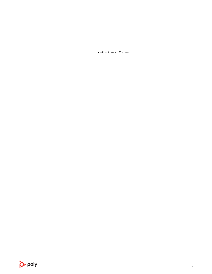• will not launch Cortana

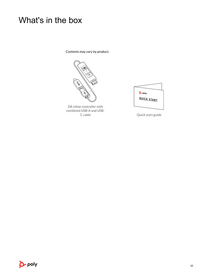### <span id="page-9-0"></span>What's in the box

Contents may vary by product.



DA inline controller with combined USB-A and USB-

| <b>P</b> -poly |
|----------------|
| QUICK START    |
|                |

Quick start guide